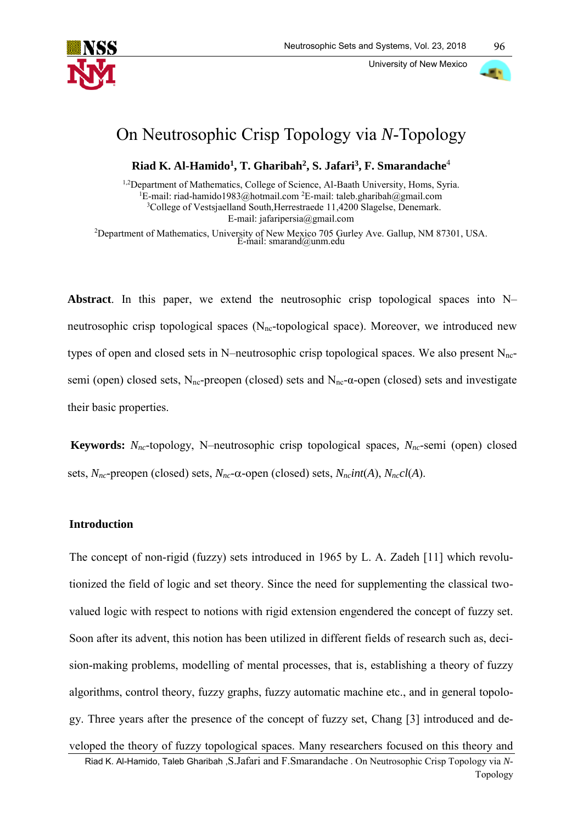

University of New Mexico



96

# On Neutrosophic Crisp Topology via *N*-Topology

**Riad K. Al-Hamido<sup>1</sup> , T. Gharibah<sup>2</sup> , S. Jafari<sup>3</sup> , F. Smarandache**<sup>4</sup>

<sup>1,2</sup>Department of Mathematics, College of Science, Al-Baath University, Homs, Syria. <sup>1</sup>E-mail: [riad-hamido1983@hotmail.com](mailto:riad-hamido1983@hotmail.com)<sup>2</sup>E-mail: [taleb.gharibah@gmail.com](mailto:taleb.gharibah@gmail.com) <sup>3</sup>College of Vestsjaelland South, Herrestraede 11,4200 Slagelse, Denemark. E-mail: [jafaripersia@gmail.com](mailto:jafaripersia@gmail.com)

<sup>2</sup>Department of Mathematics, University of New Mexico 705 Gurley Ave. Gallup, NM 87301, USA.<br>E-mail: [smarand@unm.edu](mailto:smarand@unm.edu)

**Abstract**. In this paper, we extend the neutrosophic crisp topological spaces into N– neutrosophic crisp topological spaces  $(N_{nc}$ -topological space). Moreover, we introduced new types of open and closed sets in N–neutrosophic crisp topological spaces. We also present  $N<sub>nc</sub>$ semi (open) closed sets, N<sub>nc</sub>-preopen (closed) sets and N<sub>nc</sub>- $\alpha$ -open (closed) sets and investigate their basic properties.

**Keywords:** *Nnc*-topology, N–neutrosophic crisp topological spaces*, Nnc*-semi (open) closed sets,  $N_{nc}$ -preopen (closed) sets,  $N_{nc}$ - $\alpha$ -open (closed) sets,  $N_{nc}$ *int*(*A*),  $N_{nc}$ *cl*(*A*).

## **Introduction**

The concept of non-rigid (fuzzy) sets introduced in 1965 by L. A. Zadeh [11] which revolutionized the field of logic and set theory. Since the need for supplementing the classical twovalued logic with respect to notions with rigid extension engendered the concept of fuzzy set. Soon after its advent, this notion has been utilized in different fields of research such as, decision-making problems, modelling of mental processes, that is, establishing a theory of fuzzy algorithms, control theory, fuzzy graphs, fuzzy automatic machine etc., and in general topology. Three years after the presence of the concept of fuzzy set, Chang [3] introduced and developed the theory of fuzzy topological spaces. Many researchers focused on this theory and

Riad K. Al-Hamido, Taleb Gharibah ,S.Jafari and F.Smarandache . On Neutrosophic Crisp Topology via *N*-Topology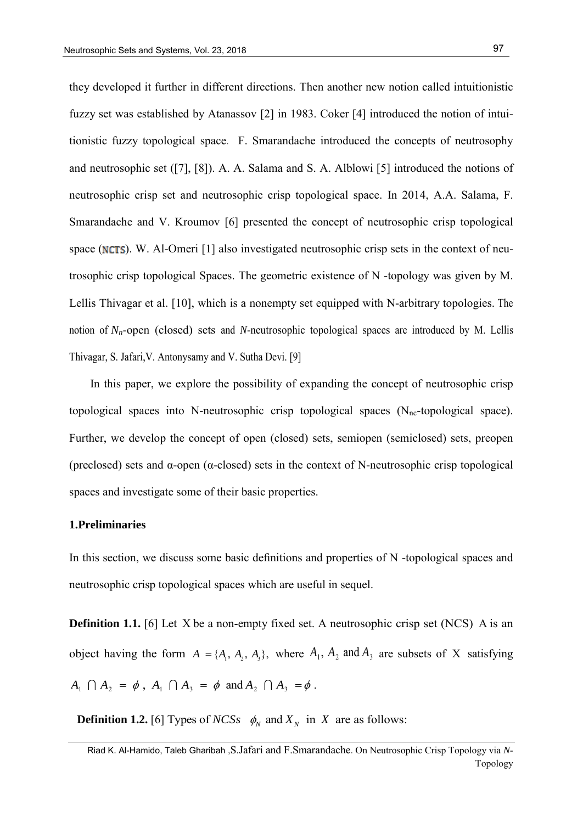they developed it further in different directions. Then another new notion called intuitionistic fuzzy set was established by Atanassov [2] in 1983. Coker [4] introduced the notion of intuitionistic fuzzy topological space. F. Smarandache introduced the concepts of neutrosophy and neutrosophic set ([7], [8]). A. A. Salama and S. A. Alblowi [5] introduced the notions of neutrosophic crisp set and neutrosophic crisp topological space. In 2014, A.A. Salama, F. Smarandache and V. Kroumov [6] presented the concept of neutrosophic crisp topological space ( $NCTS$ ). W. Al-Omeri [1] also investigated neutrosophic crisp sets in the context of neutrosophic crisp topological Spaces. The geometric existence of N -topology was given by M. Lellis Thivagar et al. [10], which is a nonempty set equipped with N-arbitrary topologies. The notion of *Nn*-open (closed) sets and *N*-neutrosophic topological spaces are introduced by M. Lellis Thivagar, S. Jafari,V. Antonysamy and V. Sutha Devi. [9]

In this paper, we explore the possibility of expanding the concept of neutrosophic crisp topological spaces into N-neutrosophic crisp topological spaces  $(N<sub>nc</sub>-topological space)$ . Further, we develop the concept of open (closed) sets, semiopen (semiclosed) sets, preopen (preclosed) sets and  $\alpha$ -open ( $\alpha$ -closed) sets in the context of N-neutrosophic crisp topological spaces and investigate some of their basic properties.

## **1.Preliminaries**

In this section, we discuss some basic definitions and properties of N -topological spaces and neutrosophic crisp topological spaces which are useful in sequel.

**Definition 1.1.** [6] Let X be a non-empty fixed set. A neutrosophic crisp set (NCS) A is an object having the form  $A = \{A_1, A_2, A_3\}$ , where  $A_1, A_2$  and  $A_3$  are subsets of X satisfying  $A_1 \cap A_2 = \emptyset$ ,  $A_1 \cap A_3 = \emptyset$  and  $A_2 \cap A_3 = \emptyset$ .

**Definition 1.2.** [6] Types of *NCSs*  $\phi_N$  and  $X_N$  in X are as follows:

Riad K. Al-Hamido, Taleb Gharibah ,S.Jafari and F.Smarandache. On Neutrosophic Crisp Topology via *N*-Topology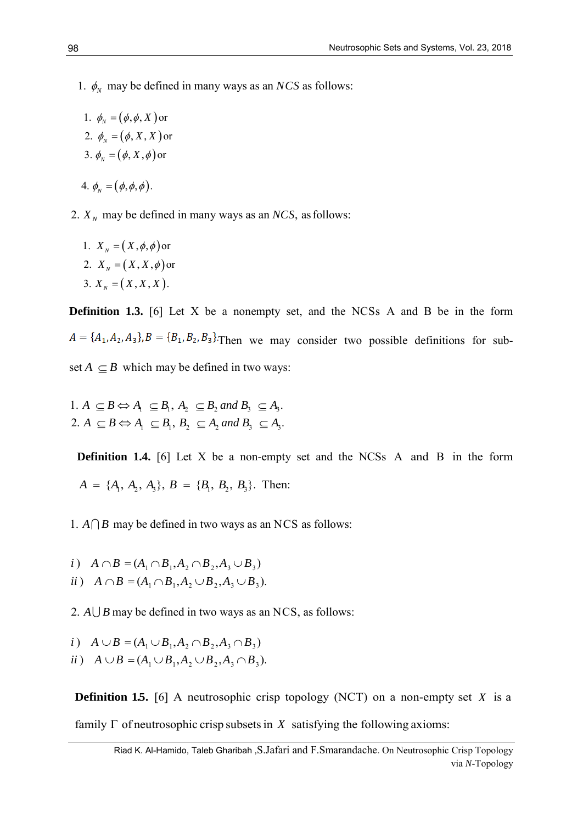1.  $\phi_N$  may be defined in many ways as an *NCS* as follows:

- 1.  $\phi_N = (\phi, \phi, X)$  or 2.  $\phi_N = (\phi, X, X)$  or 3.  $\phi_N = (\phi, X, \phi)$  or  $4. \phi_{N} = (\phi, \phi, \phi).$
- 2.  $X_N$  may be defined in many ways as an *NCS*, as follows:
	- 1.  $X_N = (X, \phi, \phi)$  or 2.  $X_N = (X, X, \phi)$  or 3.  $X_N = (X, X, X)$ .

**Definition 1.3.** [6] Let X be a nonempty set, and the NCSs A and B be in the form  $A = \{A_1, A_2, A_3\}, B = \{B_1, B_2, B_3\}.$  Then we may consider two possible definitions for subset  $A \subseteq B$  which may be defined in two ways:

1.  $A \subseteq B \Leftrightarrow A_1 \subseteq B_1, A_2 \subseteq B_2$  and  $B_3 \subseteq A_3$ . 1.  $A \subseteq B \Leftrightarrow A_1 \subseteq B_1, A_2 \subseteq B_2$  and  $B_3 \subseteq A_3$ .<br>
2.  $A \subseteq B \Leftrightarrow A_1 \subseteq B_1, B_2 \subseteq A_2$  and  $B_3 \subseteq A_3$ .

**Definition 1.4.** [6] Let X be a non-empty set and the NCSs A and B in the form  $A = \{A_1, A_2, A_3\}, B = \{B_1, B_2, B_3\}.$  Then:

- 1.  $A \cap B$  may be defined in two ways as an NCS as follows:
- *i*)  $A \cap B = (A_1 \cap B_1, A_2 \cap B_2, A_3 \cup B_3)$
- *i*)  $A \cap B = (A_1 \cap B_1, A_2 \cap B_2, A_3 \cup B_3)$ <br>*ii*)  $A \cap B = (A_1 \cap B_1, A_2 \cup B_2, A_3 \cup B_3).$

2.  $A \cup B$  may be defined in two ways as an NCS, as follows:

i) 
$$
A \cup B = (A_1 \cup B_1, A_2 \cap B_2, A_3 \cap B_3)
$$

*i*)  $A \cup B = (A_1 \cup B_1, A_2 \cap B_2, A_3 \cap B_3)$ <br>*ii*)  $A \cup B = (A_1 \cup B_1, A_2 \cup B_2, A_3 \cap B_3).$ 

**Definition 1.5.** [6] A neutrosophic crisp topology (NCT) on a non-empty set X is a family  $\Gamma$  of neutrosophic crisp subsets in X satisfying the following axioms: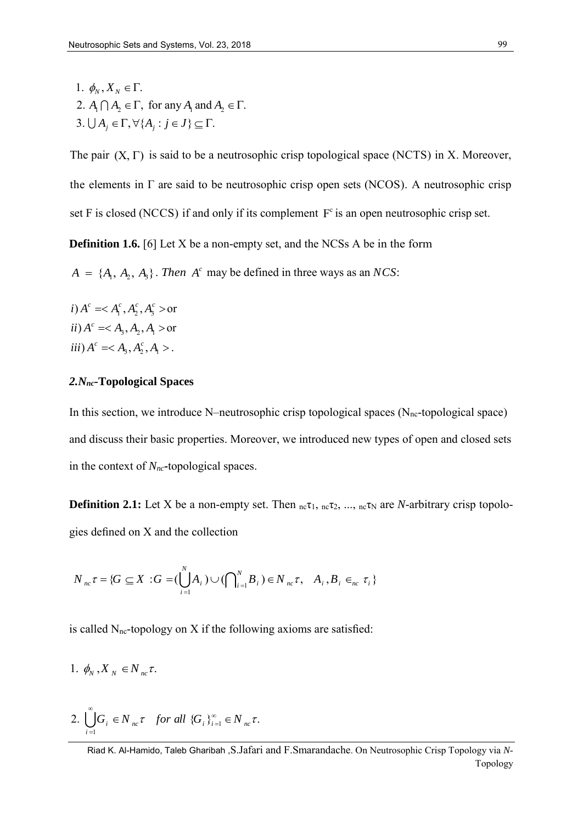1.  $\varphi_N$ ,  $X_N \in I$ .<br>2.  $A_1 \cap A_2 \in \Gamma$ , for any  $A_1$  and  $A_2 \in \Gamma$ . 1.  $\phi_N, X_N \in \Gamma$ . 2.  $A_1 \mid A_2 \in \Gamma$ , for any  $A_1$  and  $A_2 \in \Gamma$ <br>3.  $\bigcup A_j \in \Gamma$ ,  $\forall \{A_j : j \in J\} \subseteq \Gamma$ .

The pair  $(X, \Gamma)$  is said to be a neutrosophic crisp topological space (NCTS) in X. Moreover, the elements in Γ are said to be neutrosophic crisp open sets (NCOS). A neutrosophic crisp set F is closed (NCCS) if and only if its complement  $F<sup>c</sup>$  is an open neutrosophic crisp set.

**Definition 1.6.** [6] Let X be a non-empty set, and the NCSs A be in the form

 $A = \{A_1, A_2, A_3\}$ . *Then*  $A^c$  may be defined in three ways as an *NCS*:

*i*)  $A^c =$  or *ii*)  $A^c = < A_3, A_2, A_1 >$  or *iii*)  $A^c = < A_3, A_2^c, A_1 >$ .

## *2.Nnc-***Topological Spaces**

In this section, we introduce N–neutrosophic crisp topological spaces ( $N_{nc}$ -topological space) and discuss their basic properties. Moreover, we introduced new types of open and closed sets in the context of *Nnc***-**topological spaces.

**Definition 2.1:** Let X be a non-empty set. Then  $_{nc}\tau_1$ ,  $_{nc}\tau_2$ , ...,  $_{nc}\tau_N$  are *N*-arbitrary crisp topologies defined on X and the collection

$$
N_{nc} \tau = \{ G \subseteq X : G = (\bigcup_{i=1}^{N} A_i) \cup (\bigcap_{i=1}^{N} B_i) \in N_{nc} \tau, A_i, B_i \in_{nc} \tau_i \}
$$

is called  $N<sub>nc</sub>$ -topology on X if the following axioms are satisfied:

$$
1. \, \phi_N, X_N \in N_{nc} \tau.
$$

2. 
$$
\bigcup_{i=1}^{\infty} G_i \in N_{nc} \tau \quad \text{for all } \{G_i\}_{i=1}^{\infty} \in N_{nc} \tau.
$$

Riad K. Al-Hamido, Taleb Gharibah ,S.Jafari and F.Smarandache. On Neutrosophic Crisp Topology via *N*-Topology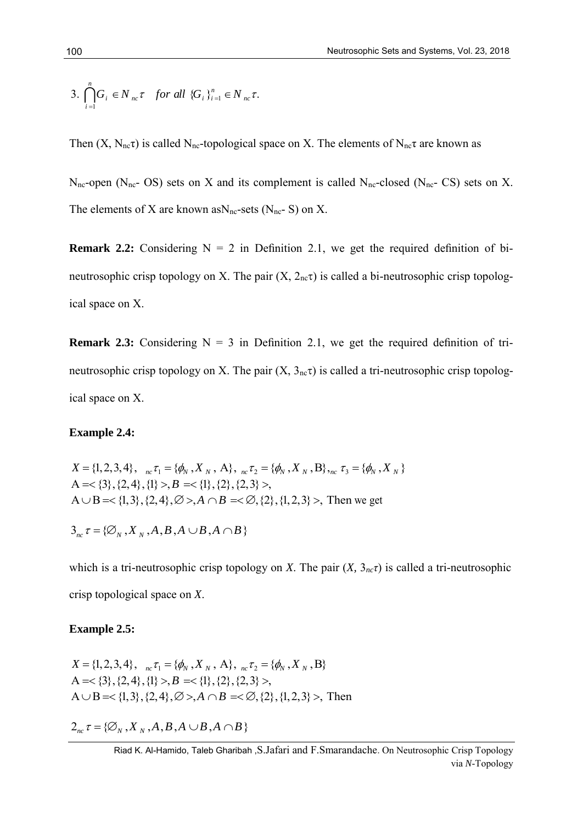3. 
$$
\bigcap_{i=1}^{n} G_i \in N_{nc} \tau \quad \text{for all } \{G_i\}_{i=1}^{n} \in N_{nc} \tau.
$$

Then  $(X, N_{nc}\tau)$  is called N<sub>nc</sub>-topological space on X. The elements of N<sub>nc</sub> $\tau$  are known as

 $N_{nc}$ -open (N<sub>nc</sub>- OS) sets on X and its complement is called N<sub>nc</sub>-closed (N<sub>nc</sub>- CS) sets on X. The elements of X are known as  $N_{nc}$ -sets ( $N_{nc}$ -S) on X.

**Remark 2.2:** Considering  $N = 2$  in Definition 2.1, we get the required definition of bineutrosophic crisp topology on X. The pair  $(X, 2<sub>n</sub>c<sub>T</sub>)$  is called a bi-neutrosophic crisp topological space on X.

**Remark 2.3:** Considering  $N = 3$  in Definition 2.1, we get the required definition of trineutrosophic crisp topology on X. The pair  $(X, 3<sub>n</sub>c<sup>T</sup>)$  is called a tri-neutrosophic crisp topological space on X.

# **Example 2.4:**

Example 2.4.  
\n
$$
X = \{1, 2, 3, 4\}, \quad {}_{nc} \tau_1 = \{\phi_N, X_N, A\}, \quad {}_{nc} \tau_2 = \{\phi_N, X_N, B\}, \quad {}_{nc} \tau_3 = \{\phi_N, X_N\}
$$
  
\n $A = \{\{3\}, \{2, 4\}, \{1\} > B = \{\{1\}, \{2\}, \{2, 3\} >,$   
\n $A \cup B = \{\{1, 3\}, \{2, 4\}, \emptyset > A \cap B = \{\emptyset, \{2\}, \{1, 2, 3\} >,$  Then we get

 $3_{nc} \tau = {\emptyset_N, X_N, A, B, A \cup B, A \cap B}$ 

which is a tri-neutrosophic crisp topology on *X*. The pair  $(X, 3<sub>nc</sub>\tau)$  is called a tri-neutrosophic crisp topological space on *X*.

## **Example 2.5:**

$$
X = \{1, 2, 3, 4\}, \,_{nc} \tau_1 = \{\phi_N, X_N, A\}, \,_{nc} \tau_2 = \{\phi_N, X_N, B\}
$$
\n
$$
A = \{3\}, \{2, 4\}, \{1\} > B = \{1\}, \{2\}, \{2, 3\} >,
$$
\n
$$
A \cup B = \{1, 3\}, \{2, 4\}, \emptyset > A \cap B = \{2\}, \{1, 2, 3\} >,
$$
\nThen

 $2_{nc} \tau = {\emptyset_N, X_N, A, B, A \cup B, A \cap B}$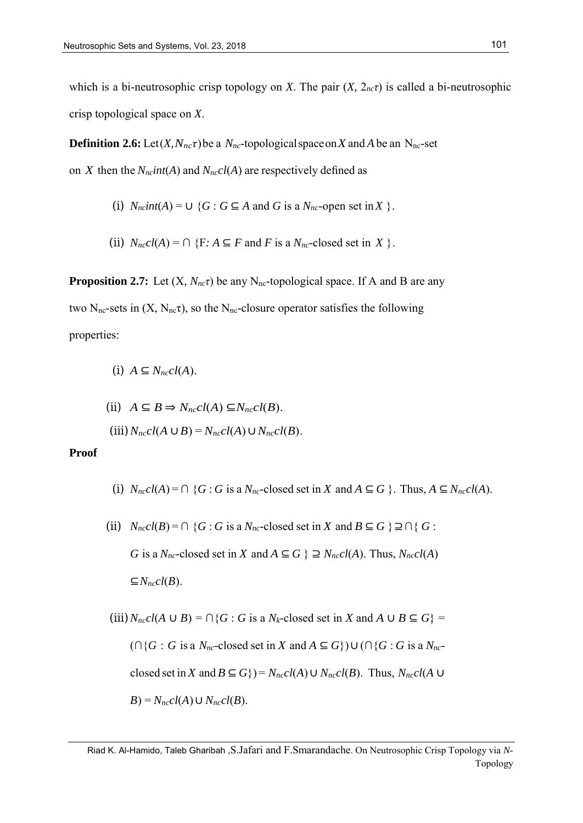which is a bi-neutrosophic crisp topology on *X*. The pair  $(X, 2<sub>nc</sub>\tau)$  is called a bi-neutrosophic crisp topological space on *X*.

**Definition 2.6:** Let  $(X, N_{nc}\tau)$  be a  $N_{nc}$ -topological space on X and A be an N<sub>nc</sub>-set on *X* then the  $N_{nc}$ *int*(*A*) and  $N_{nc}$ *cl*(*A*) are respectively defined as

(i) 
$$
N_{nc}int(A) = \cup \{G : G \subseteq A \text{ and } G \text{ is a } N_{nc}\text{-open set in } X\}
$$
.

(ii) 
$$
N_{nc}cl(A) = \bigcap \{F : A \subseteq F \text{ and } F \text{ is a } N_{nc}\text{-closed set in } X\}
$$
.

**Proposition 2.7:** Let  $(X, N_{nc}\tau)$  be any N<sub>nc</sub>-topological space. If A and B are any two N<sub>nc</sub>-sets in  $(X, N_{nc}\tau)$ , so the N<sub>nc</sub>-closure operator satisfies the following properties:

$$
(i) A \subseteq N_{nc}cl(A).
$$

(ii) 
$$
A \subseteq B \Rightarrow N_{nc}cl(A) \subseteq N_{nc}cl(B)
$$
.  
(iii)  $N_{nc}cl(A \cup B) = N_{nc}cl(A) \cup N_{nc}cl(B)$ .

## **Proof**

- (i)  $N_{nc}cl(A) = \bigcap \{G : G \text{ is a } N_{nc}$ -closed set in *X* and  $A \subseteq G \}$ . Thus,  $A \subseteq N_{nc}cl(A)$ .
- (ii)  $N_{nc}cl(B) = \bigcap \{G : G \text{ is a } N_{nc}$ -closed set in *X* and  $B \subseteq G \} \supseteq \bigcap \{G : G \text{ is a } N_{nc}$ *G* is a  $N_{nc}$ -closed set in *X* and  $A \subseteq G$  }  $\supseteq N_{nc}cl(A)$ . Thus,  $N_{nc}cl(A)$ ⊆*Nnccl*(*B*).

(iii) 
$$
N_{nc}cl(A \cup B) = \cap \{G : G \text{ is a } N_k\text{-closed set in } X \text{ and } A \cup B \subseteq G\}
$$
  
\n $(\cap \{G : G \text{ is a } N_{nc}\text{-closed set in } X \text{ and } A \subseteq G\}) \cup (\cap \{G : G \text{ is a } N_{nc}\text{-closed set in } X \text{ and } B \subseteq G\}) = N_{nc}cl(A) \cup N_{nc}cl(B)$ . Thus,  $N_{nc}cl(A \cup B) = N_{nc}cl(A) \cup N_{nc}cl(B)$ .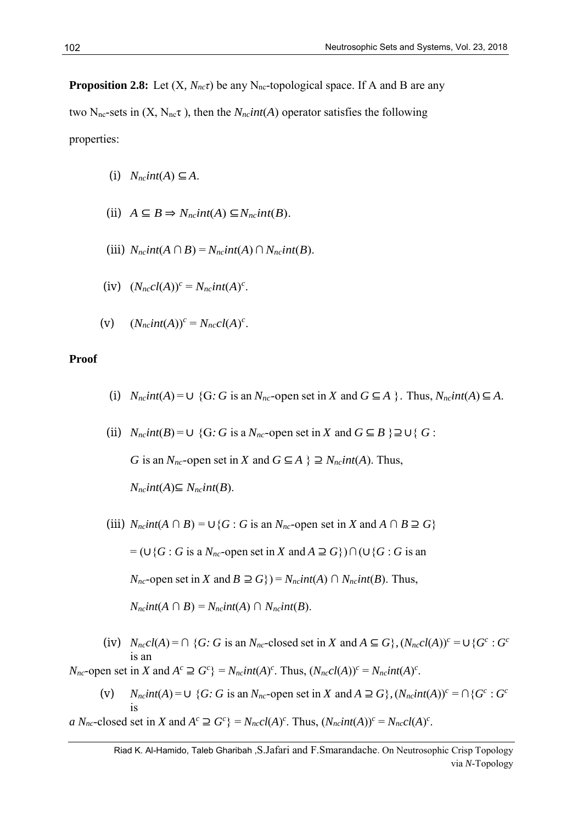**Proposition 2.8:** Let  $(X, N_{nc}\tau)$  be any N<sub>nc</sub>-topological space. If A and B are any

two N<sub>nc</sub>-sets in  $(X, N_{nc}\tau)$ , then the  $N_{nc}int(A)$  operator satisfies the following properties:

- $(i)$  *N<sub>nc</sub>int*(*A*)  $\subseteq$  *A*.
- (ii)  $A ⊆ B ⇒ N<sub>ncl</sub>int(A) ⊆ N<sub>ncl</sub>int(B).$
- (iii)  $N_{nc}$ *int*( $A \cap B$ ) =  $N_{nc}$ *int*( $A$ )  $\cap N_{nc}$ *int*( $B$ ).
- (iv)  $(N<sub>nc</sub>cl(A))<sup>c</sup> = N<sub>nc</sub>int(A)<sup>c</sup>$ .
- (v)  $(N_{nc}int(A))^c = N_{nc}cl(A)^c$ .

## **Proof**

- (i)  $N_{nc}int(A) = \cup \{G : G \text{ is an } N_{nc}$ -open set in *X* and  $G \subseteq A \}$ . Thus,  $N_{nc}int(A) \subseteq A$ .
- (ii)  $N_{nc}$ *int*(*B*) = ∪ {G: *G* is a  $N_{nc}$ -open set in *X* and  $G \subseteq B$  }  $\supseteq \cup$  {  $G$ : *G* is an *N<sub>nc</sub>*-open set in *X* and *G* ⊆ *A* } ⊇ *N<sub>nc</sub>int*(*A*). Thus, *N*<sup>*nc*</sub>*int*(*A*)⊆ *N*<sup>*ncint*(*B*).</sup></sup>
- (iii) *N<sub>nc</sub>int*( $A \cap B$ ) = ∪{*G* : *G* is an *N<sub>nc</sub>*-open set in *X* and  $A \cap B \supseteq G$ }

 $=$  ( $\cup$ {*G* : *G* is a *N<sub>nc</sub>*-open set in *X* and *A*  $\supseteq$  *G*})∩( $\cup$ {*G* : *G* is an

*N*<sup>*nc*</sup>-open set in *X* and *B* ⊇ *G*}) = *N*<sub>*nc</sub>int*(*A*) ∩ *N<sub>nc</sub>int*(*B*). Thus,</sub>

 $N_{nc}$ *int*( $A \cap B$ ) =  $N_{nc}$ *int*( $A$ )  $\cap$   $N_{nc}$ *int*( $B$ ).

(iv)  $N_{nc}cl(A) = \bigcap \{G: G \text{ is an } N_{nc}\text{-closed set in } X \text{ and } A \subseteq G\}$ ,  $(N_{nc}cl(A))^c = \bigcup \{G^c: G^c \}$ is an

 $N_{nc}$ -open set in X and  $A^c \supseteq G^c$  =  $N_{nc}int(A)^c$ . Thus,  $(N_{nc}cl(A))^c = N_{nc}int(A)^c$ .

(v)  $N_{nc}int(A) = \cup \{G: G \text{ is an } N_{nc}$ -open set in X and  $A \supseteq G\}$ ,  $(N_{nc}int(A))^c = \bigcap \{G^c: G^c\}$ is

a  $N_{nc}$ -closed set in X and  $A^c \supseteq G^c$  =  $N_{nc}cl(A)^c$ . Thus,  $(N_{nc}int(A))^c = N_{nc}cl(A)^c$ .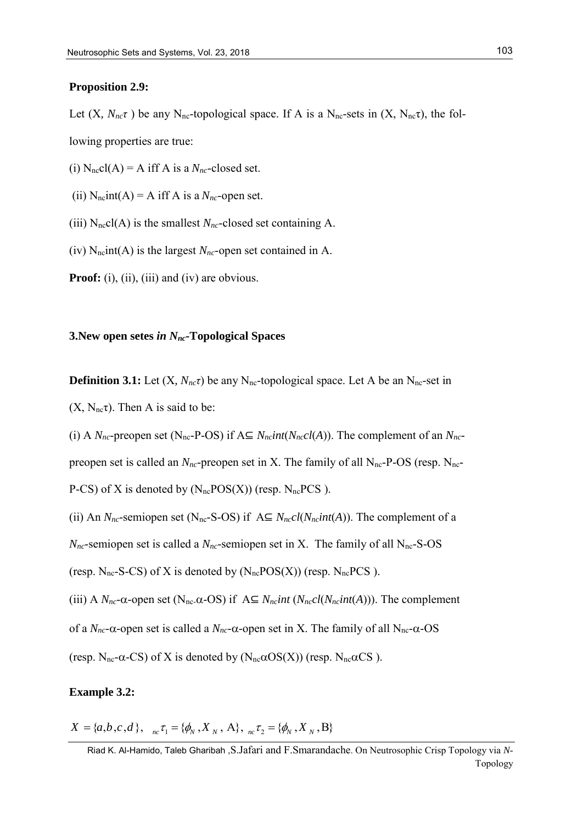#### **Proposition 2.9:**

Let  $(X, N_{nc}\tau)$  be any N<sub>nc</sub>-topological space. If A is a N<sub>nc</sub>-sets in  $(X, N_{nc}\tau)$ , the following properties are true:

(i)  $N<sub>nc</sub>cl(A) = A$  iff A is a  $N<sub>nc</sub>$ -closed set.

(ii)  $N_{nc}$ int(A) = A iff A is a  $N_{nc}$ -open set.

(iii)  $N<sub>nc</sub>cl(A)$  is the smallest  $N<sub>nc</sub>$ -closed set containing A.

(iv)  $N_{nc}$  int(A) is the largest  $N_{nc}$ -open set contained in A.

**Proof:** (i), (ii), (iii) and (iv) are obvious.

# **3.New open setes** *in Nnc-***Topological Spaces**

**Definition 3.1:** Let  $(X, N_{nc}\tau)$  be any N<sub>nc</sub>-topological space. Let A be an N<sub>nc</sub>-set in  $(X, N_{\text{nc}}\tau)$ . Then A is said to be:

(i) A  $N_{nc}$ -preopen set (N<sub>nc</sub>-P-OS) if  $A \subseteq N_{nc}$ *int*( $N_{nc}$ *cl*(*A*)). The complement of an  $N_{nc}$ preopen set is called an  $N_{nc}$ -preopen set in X. The family of all  $N_{nc}$ -P-OS (resp.  $N_{nc}$ -P-CS) of X is denoted by  $(N_{nc}POS(X))$  (resp.  $N_{nc}PCS$ ).

(ii) An  $N_{nc}$ -semiopen set (N<sub>nc</sub>-S-OS) if  $A \subseteq N_{nc}cl(N_{nc}int(A))$ . The complement of a  $N<sub>nc</sub>$ -semiopen set is called a  $N<sub>nc</sub>$ -semiopen set in X. The family of all  $N<sub>nc</sub>$ -S-OS (resp.  $N_{nc}$ -S-CS) of X is denoted by  $(N_{nc}POS(X))$  (resp.  $N_{nc}PCS$ ).

(iii) A  $N_{nc}$ - $\alpha$ -open set (N<sub>nc</sub>- $\alpha$ -OS) if  $A \subseteq N_{nc}$ *int* ( $N_{nc}$ *cl*( $N_{nc}$ *int*(*A*))). The complement of a  $N_{nc}$ - $\alpha$ -open set is called a  $N_{nc}$ - $\alpha$ -open set in X. The family of all  $N_{nc}$ - $\alpha$ -OS (resp.  $N_{\text{nc}}\alpha$ -CS) of X is denoted by ( $N_{\text{nc}}\alpha$ OS(X)) (resp.  $N_{\text{nc}}\alpha$ CS).

# **Example 3.2:**

 $X = \{a, b, c, d\},\n\begin{aligned}\n\pi_0 \tau_1 &= \{\phi_N, X_N, A\},\n\pi_1 \tau_2 &= \{\phi_N, X_N, B\}\n\end{aligned}$ 

Riad K. Al-Hamido, Taleb Gharibah ,S.Jafari and F.Smarandache. On Neutrosophic Crisp Topology via *N*-Topology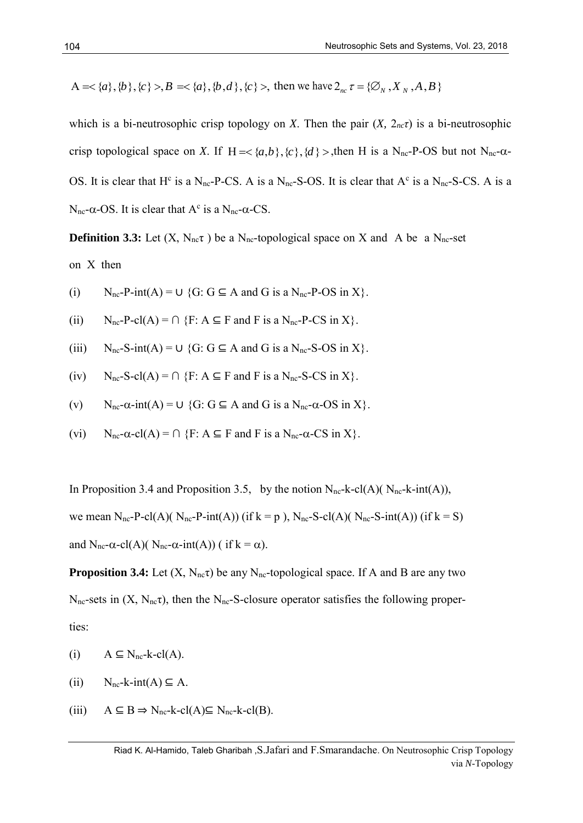A=
$$
\{a\}, \{b\}, \{c\}
$$
,B= $\{a\}, \{b,d\}, \{c\}$ , then we have  $2_{nc} \tau = \{\emptyset_N, X_N, A, B\}$ 

 $\Lambda \ll \langle u \rangle, \langle b \rangle, \langle c \rangle > R \ll \langle a \rangle, \langle b, d \rangle, \langle c \rangle$ , then we have 2<sub>v</sub>  $\tau = \{\mathcal{D}_x, X_x, A, B\}$ <br>
which is a bi-neutrosophic crisp (opology on *X*. Then the pair (*X*, 2<sub>0</sub>-*C*) is a bi-neutrosophic<br>
virig mpological space on which is a bi-neutrosophic crisp topology on *X*. Then the pair  $(X, 2<sub>nc</sub>\tau)$  is a bi-neutrosophic crisp topological space on *X*. If  $H = <{a,b}$ ,  ${c}$ ,  ${d} >$ , then H is a N<sub>nc</sub>-P-OS but not N<sub>nc</sub>- $\alpha$ -OS. It is clear that  $H^c$  is a N<sub>nc</sub>-P-CS. A is a N<sub>nc</sub>-S-OS. It is clear that  $A^c$  is a N<sub>nc</sub>-S-CS. A is a  $N_{\text{nc}}$ - $\alpha$ -OS. It is clear that  $A^c$  is a  $N_{\text{nc}}$ - $\alpha$ -CS.

**Definition 3.3:** Let  $(X, N_{nc}\tau)$  be a N<sub>nc</sub>-topological space on X and A be a N<sub>nc</sub>-set on X then

- (i)  $N_{nc}P\text{-}int(A) = U \{G: G \subseteq A \text{ and } G \text{ is a } N_{nc}P\text{-}OS \text{ in } X\}.$
- (ii)  $N_{nc}P\text{-}cl(A) = \bigcap \{F: A \subseteq F \text{ and } F \text{ is a } N_{nc}P\text{-}CS \text{ in } X\}.$
- (iii)  $N_{nc}$ -S-int(A) =  $\cup$  {G: G  $\subseteq$  A and G is a  $N_{nc}$ -S-OS in X}.
- (iv)  $N_{nc}$ -S-cl(A) =  $\cap$  {F: A  $\subseteq$  F and F is a  $N_{nc}$ -S-CS in X}.
- (v)  $N_{nc}-\alpha\text{-}int(A) = \cup \{G: G \subseteq A \text{ and } G \text{ is a } N_{nc}-\alpha\text{-}OS \text{ in } X\}.$
- (vi)  $N_{\text{nc}} \alpha c l(A) = \bigcap \{F : A \subseteq F \text{ and } F \text{ is a } N_{\text{nc}} \alpha CS \text{ in } X\}.$

In Proposition 3.4 and Proposition 3.5, by the notion  $N_{nc}$ -k-cl(A)( $N_{nc}$ -k-int(A)), we mean N<sub>nc</sub>-P-cl(A)( N<sub>nc</sub>-P-int(A)) (if k = p ), N<sub>nc</sub>-S-cl(A)( N<sub>nc</sub>-S-int(A)) (if k = S) and  $N_{nc}-\alpha$ -cl(A)(  $N_{nc}-\alpha$ -int(A)) ( if  $k = \alpha$ ).

**Proposition 3.4:** Let  $(X, N_{nc}\tau)$  be any  $N_{nc}$ -topological space. If A and B are any two  $N_{\text{nc}}$ -sets in  $(X, N_{\text{nc}}\tau)$ , then the  $N_{\text{nc}}$ -S-closure operator satisfies the following properties:

- (i)  $A \subseteq N_{nc}-k-cl(A)$ .
- (ii)  $N_{\text{nc}}-k\text{-int}(A) \subseteq A$ .
- (iii)  $A \subseteq B \Rightarrow N_{nc} k c l(A) \subseteq N_{nc} k c l(B)$ .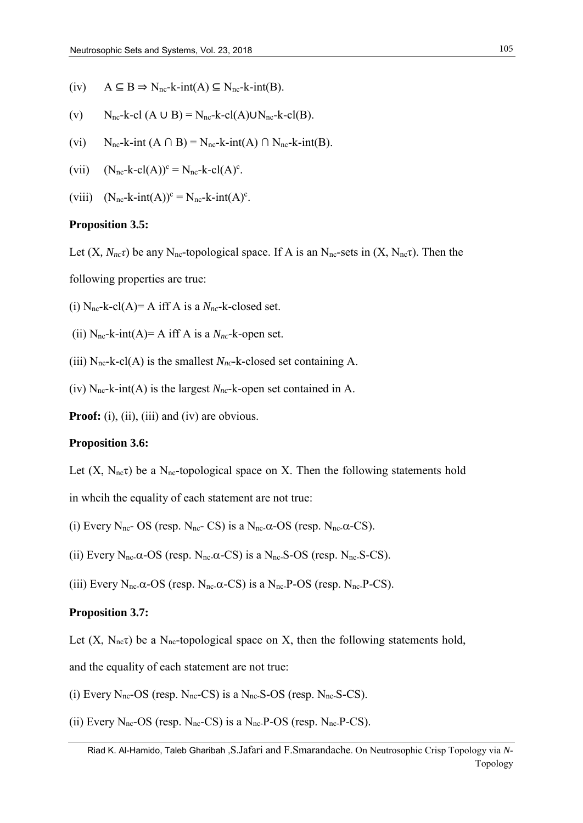- (iv)  $A \subseteq B \Rightarrow N_{nc}-k-int(A) \subseteq N_{nc}-k-int(B).$
- (v)  $N_{nc}-k-cl(A \cup B) = N_{nc}-k-cl(A) \cup N_{nc}-k-cl(B).$
- (vi)  $N_{nc}-k-int (A \cap B) = N_{nc}-k-int (A) \cap N_{nc}-k-int (B).$
- (vii)  $(N_{nc}-k-cl(A))^{c} = N_{nc}-k-cl(A)^{c}$ .
- (viii)  $(N_{nc}-k-int(A))^c = N_{nc}-k-int(A)^c$ .

#### **Proposition 3.5:**

Let  $(X, N<sub>n</sub>, \tau)$  be any N<sub>nc</sub>-topological space. If A is an N<sub>nc</sub>-sets in  $(X, N<sub>n</sub>, \tau)$ . Then the

following properties are true:

(i)  $N_{nc}$ -k-cl(A)= A iff A is a  $N_{nc}$ -k-closed set.

(ii)  $N_{nc}$ -k-int(A)= A iff A is a  $N_{nc}$ -k-open set.

(iii)  $N_{nc}$ -k-cl(A) is the smallest  $N_{nc}$ -k-closed set containing A.

(iv)  $N_{nc}$ -k-int(A) is the largest  $N_{nc}$ -k-open set contained in A.

**Proof:** (i), (ii), (iii) and (iv) are obvious.

#### **Proposition 3.6:**

Let  $(X, N_{nc}\tau)$  be a N<sub>nc</sub>-topological space on X. Then the following statements hold in whcih the equality of each statement are not true:

(i) Every N<sub>nc</sub>- OS (resp. N<sub>nc</sub>- CS) is a N<sub>nc</sub>- $\alpha$ -OS (resp. N<sub>nc</sub>- $\alpha$ -CS).

(ii) Every  $N_{nc}$ - $\alpha$ - $OS$  (resp.  $N_{nc}$ - $\alpha$ - $CS$ ) is a  $N_{nc}$ - $S$ - $OS$  (resp.  $N_{nc}$ - $S$ - $CS$ ).

(iii) Every  $N_{\text{nc}}$ - $\alpha$ - $OS$  (resp.  $N_{\text{nc}}$ - $\alpha$ - $CS$ ) is a  $N_{\text{nc}}$ - $P$ - $OS$  (resp.  $N_{\text{nc}}$ - $P$ - $CS$ ).

#### **Proposition 3.7:**

Let  $(X, N_{nc}\tau)$  be a N<sub>nc</sub>-topological space on X, then the following statements hold,

and the equality of each statement are not true:

- (i) Every  $N_{nc}$ -OS (resp.  $N_{nc}$ -CS) is a  $N_{nc}$ -S-OS (resp.  $N_{nc}$ -S-CS).
- (ii) Every  $N_{nc}$ -OS (resp.  $N_{nc}$ -CS) is a  $N_{nc}$ -P-OS (resp.  $N_{nc}$ -P-CS).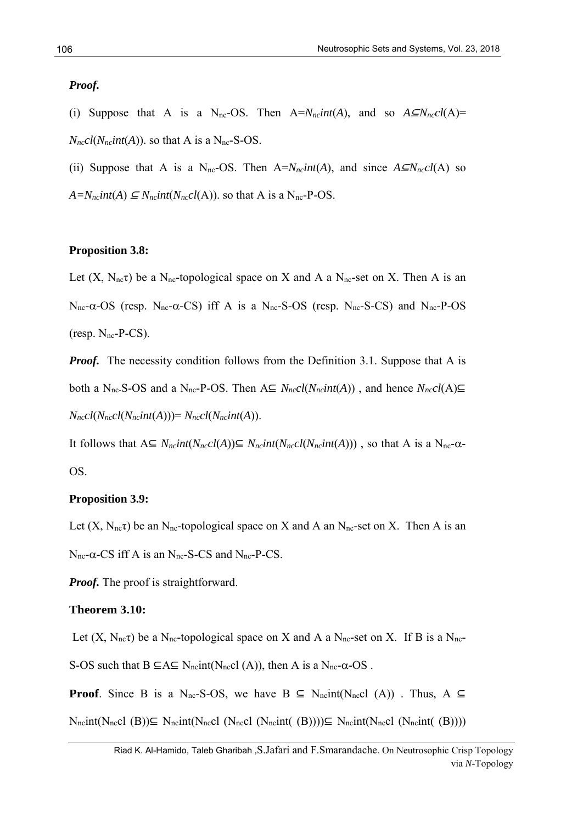## *Proof.*

- (i) Suppose that A is a N<sub>nc</sub>-OS. Then  $A=N<sub>n</sub>cnH(A)$ , and so  $A\subseteq N<sub>n</sub>cnH(A)$ =  $N<sub>nc</sub>cl(N<sub>nc</sub>int(A))$ . so that A is a N<sub>nc</sub>-S-OS.
- (ii) Suppose that A is a N<sub>nc</sub>-OS. Then  $A=N<sub>n</sub> \cdot \frac{C}{A}$ , and since  $A \subseteq N<sub>n</sub> \cdot \frac{C}{A}$  so
- $A=N<sub>ncl</sub>int(A) \subseteq N<sub>ncl</sub>int(N<sub>ncl</sub>(A))$ . so that A is a N<sub>nc</sub>-P-OS.

# **Proposition 3.8:**

Let  $(X, N_{nc}\tau)$  be a N<sub>nc</sub>-topological space on X and A a N<sub>nc</sub>-set on X. Then A is an  $N_{nc}-\alpha$ -OS (resp.  $N_{nc}-\alpha$ -CS) iff A is a  $N_{nc}-S$ -OS (resp.  $N_{nc}-S$ -CS) and  $N_{nc}-P$ -OS (resp.  $N_{\text{nc}}$ -P-CS).

*Proof.* The necessity condition follows from the Definition 3.1. Suppose that A is both a N<sub>nc</sub>-S-OS and a N<sub>nc</sub>-P-OS. Then A⊆  $N_{nc}cl(N_{nc}int(A))$ , and hence  $N_{nc}cl(A)$ ⊆ *Nnccl*(*Nnccl*(*Nncint*(*A*)))= *Nnccl*(*Nncint*(*A*)).

It follows that  $A ⊆ N_{nc} int(N_{nc}cl(A)) ⊆ N_{nc} int(N_{nc}cl(N_{nc} int(A)))$ , so that A is a N<sub>nc</sub>-α-OS.

## **Proposition 3.9:**

Let  $(X, N_{nc}\tau)$  be an N<sub>nc</sub>-topological space on X and A an N<sub>nc</sub>-set on X. Then A is an  $N_{\text{nc}}$ - $\alpha$ -CS iff A is an  $N_{\text{nc}}$ -S-CS and  $N_{\text{nc}}$ -P-CS.

*Proof.* The proof is straightforward.

## **Theorem 3.10:**

Let  $(X, N_{nc}\tau)$  be a N<sub>nc</sub>-topological space on X and A a N<sub>nc</sub>-set on X. If B is a N<sub>nc</sub>-

S-OS such that  $B \subseteq A \subseteq N_{nc}$ int(N<sub>nc</sub>cl (A)), then A is a N<sub>nc</sub>- $\alpha$ -OS.

**Proof**. Since B is a N<sub>nc</sub>-S-OS, we have  $B \subseteq N_{nc}$ int(N<sub>nc</sub>cl (A)). Thus, A ⊆

 $N_{nc}$ int(N<sub>nc</sub>cl (B))⊆ N<sub>nc</sub>int(N<sub>nc</sub>cl (N<sub>nc</sub>cl (N<sub>nc</sub>int( (B))))⊆ N<sub>nc</sub>int(N<sub>nc</sub>cl (N<sub>nc</sub>int( (B))))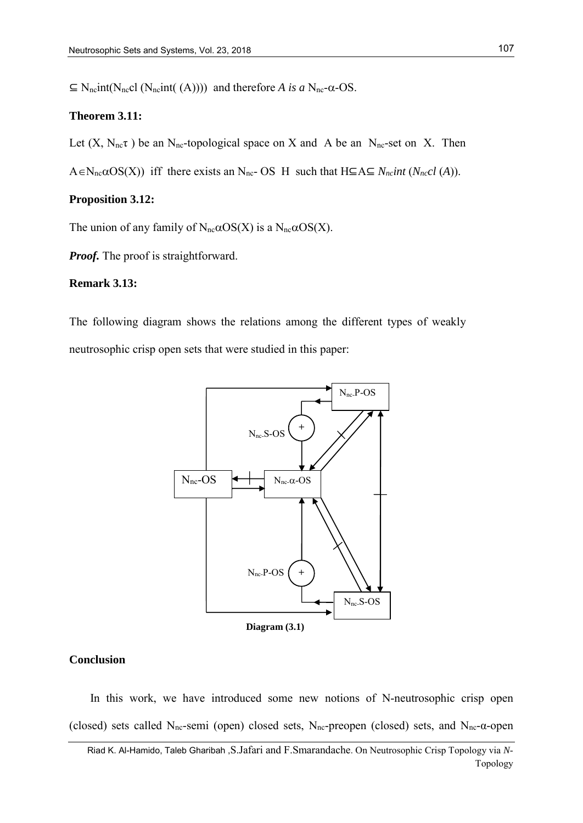$\subseteq$  N<sub>nc</sub>int(N<sub>nc</sub>cl (N<sub>nc</sub>int( (A)))) and therefore *A* is *a* N<sub>nc</sub>- $\alpha$ -OS.

## **Theorem 3.11:**

Let  $(X, N_{nc}\tau)$  be an N<sub>nc</sub>-topological space on X and A be an N<sub>nc</sub>-set on X. Then

 $A \in N_{nc} \alpha OS(X)$ ) iff there exists an  $N_{nc}$ - OS H such that  $H \subseteq A \subseteq N_{nc}$ *int*  $(N_{nc}cl(A))$ .

## **Proposition 3.12:**

The union of any family of  $N_{nc} \alpha O S(X)$  is a  $N_{nc} \alpha O S(X)$ .

*Proof.* The proof is straightforward.

# **Remark 3.13:**

The following diagram shows the relations among the different types of weakly neutrosophic crisp open sets that were studied in this paper:



# **Conclusion**

In this work, we have introduced some new notions of N-neutrosophic crisp open (closed) sets called N<sub>nc</sub>-semi (open) closed sets, N<sub>nc</sub>-preopen (closed) sets, and N<sub>nc</sub>- $\alpha$ -open

Riad K. Al-Hamido, Taleb Gharibah ,S.Jafari and F.Smarandache. On Neutrosophic Crisp Topology via *N*-Topology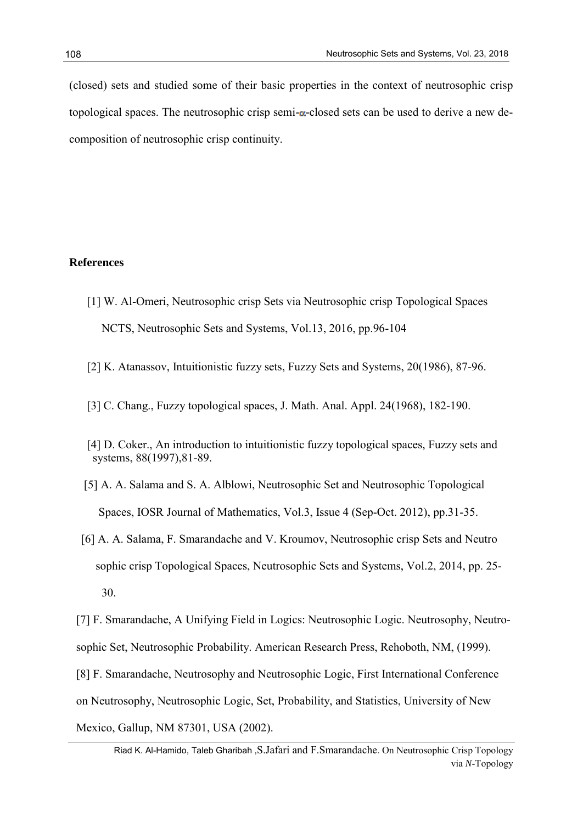(closed) sets and studied some of their basic properties in the context of neutrosophic crisp topological spaces. The neutrosophic crisp semi- $\alpha$ -closed sets can be used to derive a new decomposition of neutrosophic crisp continuity.

# **References**

- [1] W. Al-Omeri, Neutrosophic crisp Sets via Neutrosophic crisp Topological Spaces NCTS, Neutrosophic Sets and Systems, Vol.13, 2016, pp.96-104
- [2] K. Atanassov, Intuitionistic fuzzy sets, Fuzzy Sets and Systems, 20(1986), 87-96.
- [3] C. Chang., Fuzzy topological spaces, J. Math. Anal. Appl. 24(1968), 182-190.
- [4] D. Coker., An introduction to intuitionistic fuzzy topological spaces, Fuzzy sets and systems, 88(1997),81-89.
- [5] A. A. Salama and S. A. Alblowi, Neutrosophic Set and Neutrosophic Topological Spaces, IOSR Journal of Mathematics, Vol.3, Issue 4 (Sep-Oct. 2012), pp.31-35.
- [6] A. A. Salama, F. Smarandache and V. Kroumov, Neutrosophic crisp Sets and Neutro sophic crisp Topological Spaces, Neutrosophic Sets and Systems, Vol.2, 2014, pp. 25- 30.

[7] F. Smarandache, A Unifying Field in Logics: Neutrosophic Logic. Neutrosophy, Neutrosophic Set, Neutrosophic Probability. American Research Press, Rehoboth, NM, (1999).

[8] F. Smarandache, Neutrosophy and Neutrosophic Logic, First International Conference

on Neutrosophy, Neutrosophic Logic, Set, Probability, and Statistics, University of New

Mexico, Gallup, NM 87301, USA (2002).